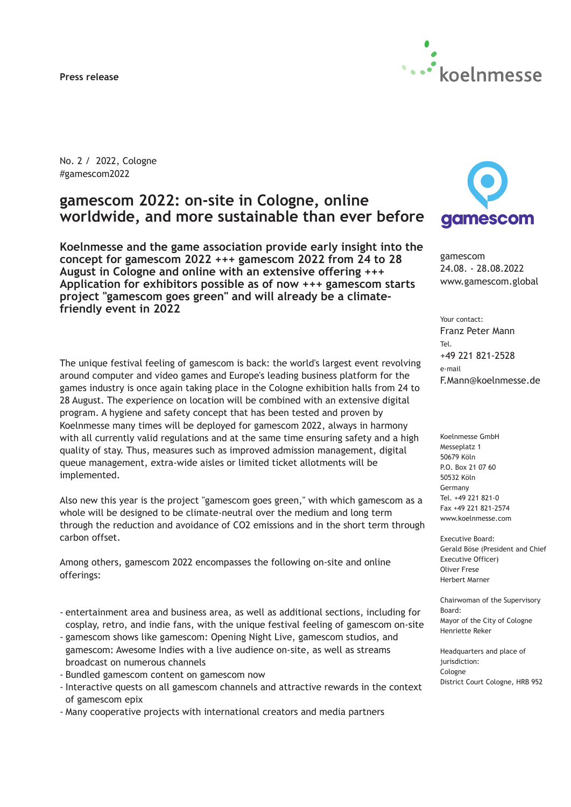**Press release**



No. 2 / 2022, Cologne #gamescom2022

# **gamescom 2022: on-site in Cologne, online worldwide, and more sustainable than ever before**

**Koelnmesse and the game association provide early insight into the concept for gamescom 2022 +++ gamescom 2022 from 24 to 28 August in Cologne and online with an extensive offering +++ Application for exhibitors possible as of now +++ gamescom starts project "gamescom goes green" and will already be a climatefriendly event in 2022**

The unique festival feeling of gamescom is back: the world's largest event revolving around computer and video games and Europe's leading business platform for the games industry is once again taking place in the Cologne exhibition halls from 24 to 28 August. The experience on location will be combined with an extensive digital program. A hygiene and safety concept that has been tested and proven by Koelnmesse many times will be deployed for gamescom 2022, always in harmony with all currently valid regulations and at the same time ensuring safety and a high quality of stay. Thus, measures such as improved admission management, digital queue management, extra-wide aisles or limited ticket allotments will be implemented.

Also new this year is the project "gamescom goes green," with which gamescom as a whole will be designed to be climate-neutral over the medium and long term through the reduction and avoidance of CO2 emissions and in the short term through carbon offset.

Among others, gamescom 2022 encompasses the following on-site and online offerings:

- entertainment area and business area, as well as additional sections, including for cosplay, retro, and indie fans, with the unique festival feeling of gamescom on-site
- gamescom shows like gamescom: Opening Night Live, gamescom studios, and gamescom: Awesome Indies with a live audience on-site, as well as streams broadcast on numerous channels
- Bundled gamescom content on gamescom now
- Interactive quests on all gamescom channels and attractive rewards in the context of gamescom epix
- Many cooperative projects with international creators and media partners



gamescom 24.08. - 28.08.2022 www.gamescom.global

Your contact: Franz Peter Mann Tel. +49 221 821-2528 e-mail F.Mann@koelnmesse.de

Koelnmesse GmbH Messeplatz 1 50679 Köln P.O. Box 21 07 60 50532 Köln Germany Tel. +49 221 821-0 Fax +49 221 821-2574 www.koelnmesse.com

Executive Board: Gerald Böse (President and Chief Executive Officer) Oliver Frese Herbert Marner

Chairwoman of the Supervisory Board: Mayor of the City of Cologne Henriette Reker

Headquarters and place of jurisdiction: Cologne District Court Cologne, HRB 952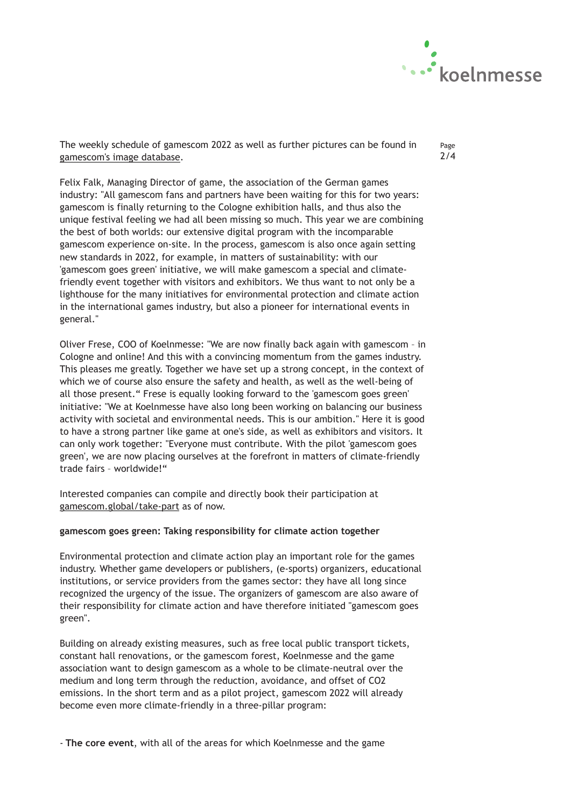

The weekly schedule of gamescom 2022 as well as further pictures can be found in [gamescom's image database.](https://www.gamescom.global/press-creator/multimedia/image-database/images-gamescom/)

Page 2/4

Felix Falk, Managing Director of game, the association of the German games industry: "All gamescom fans and partners have been waiting for this for two years: gamescom is finally returning to the Cologne exhibition halls, and thus also the unique festival feeling we had all been missing so much. This year we are combining the best of both worlds: our extensive digital program with the incomparable gamescom experience on-site. In the process, gamescom is also once again setting new standards in 2022, for example, in matters of sustainability: with our 'gamescom goes green' initiative, we will make gamescom a special and climatefriendly event together with visitors and exhibitors. We thus want to not only be a lighthouse for the many initiatives for environmental protection and climate action in the international games industry, but also a pioneer for international events in general."

Oliver Frese, COO of Koelnmesse: "We are now finally back again with gamescom – in Cologne and online! And this with a convincing momentum from the games industry. This pleases me greatly. Together we have set up a strong concept, in the context of which we of course also ensure the safety and health, as well as the well-being of all those present." Frese is equally looking forward to the 'gamescom goes green' initiative: "We at Koelnmesse have also long been working on balancing our business activity with societal and environmental needs. This is our ambition." Here it is good to have a strong partner like game at one's side, as well as exhibitors and visitors. It can only work together: "Everyone must contribute. With the pilot 'gamescom goes green', we are now placing ourselves at the forefront in matters of climate-friendly trade fairs – worldwide!"

Interested companies can compile and directly book their participation at [gamescom.global/take-part](https://www.gamescom.global/take-part) as of now.

## **gamescom goes green: Taking responsibility for climate action together**

Environmental protection and climate action play an important role for the games industry. Whether game developers or publishers, (e-sports) organizers, educational institutions, or service providers from the games sector: they have all long since recognized the urgency of the issue. The organizers of gamescom are also aware of their responsibility for climate action and have therefore initiated "gamescom goes green".

Building on already existing measures, such as free local public transport tickets, constant hall renovations, or the gamescom forest, Koelnmesse and the game association want to design gamescom as a whole to be climate-neutral over the medium and long term through the reduction, avoidance, and offset of CO2 emissions. In the short term and as a pilot project, gamescom 2022 will already become even more climate-friendly in a three-pillar program:

- **The core event**, with all of the areas for which Koelnmesse and the game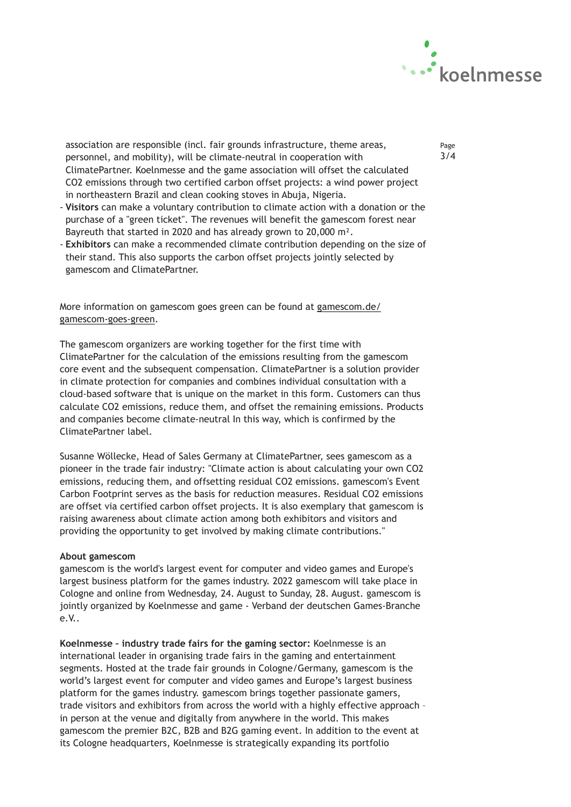

association are responsible (incl. fair grounds infrastructure, theme areas, personnel, and mobility), will be climate-neutral in cooperation with ClimatePartner. Koelnmesse and the game association will offset the calculated CO2 emissions through two certified carbon offset projects: a wind power project in northeastern Brazil and clean cooking stoves in Abuja, Nigeria.

- **Visitors** can make a voluntary contribution to climate action with a donation or the purchase of a "green ticket". The revenues will benefit the gamescom forest near Bayreuth that started in 2020 and has already grown to 20,000 m².
- **Exhibitors** can make a recommended climate contribution depending on the size of their stand. This also supports the carbon offset projects jointly selected by gamescom and ClimatePartner.

More information on gamescom goes green can be found at [gamescom.de/](https://www.gamescom.de/gamescom-goes-green) [gamescom-goes-green.](https://www.gamescom.de/gamescom-goes-green)

The gamescom organizers are working together for the first time with ClimatePartner for the calculation of the emissions resulting from the gamescom core event and the subsequent compensation. ClimatePartner is a solution provider in climate protection for companies and combines individual consultation with a cloud-based software that is unique on the market in this form. Customers can thus calculate CO2 emissions, reduce them, and offset the remaining emissions. Products and companies become climate-neutral In this way, which is confirmed by the ClimatePartner label.

Susanne Wöllecke, Head of Sales Germany at ClimatePartner, sees gamescom as a pioneer in the trade fair industry: "Climate action is about calculating your own CO2 emissions, reducing them, and offsetting residual CO2 emissions. gamescom's Event Carbon Footprint serves as the basis for reduction measures. Residual CO2 emissions are offset via certified carbon offset projects. It is also exemplary that gamescom is raising awareness about climate action among both exhibitors and visitors and providing the opportunity to get involved by making climate contributions."

#### **About gamescom**

gamescom is the world's largest event for computer and video games and Europe's largest business platform for the games industry. 2022 gamescom will take place in Cologne and online from Wednesday, 24. August to Sunday, 28. August. gamescom is jointly organized by Koelnmesse and game - Verband der deutschen Games-Branche e.V..

**Koelnmesse – industry trade fairs for the gaming sector:** Koelnmesse is an international leader in organising trade fairs in the gaming and entertainment segments. Hosted at the trade fair grounds in Cologne/Germany, gamescom is the world's largest event for computer and video games and Europe's largest business platform for the games industry. gamescom brings together passionate gamers, trade visitors and exhibitors from across the world with a highly effective approach – in person at the venue and digitally from anywhere in the world. This makes gamescom the premier B2C, B2B and B2G gaming event. In addition to the event at its Cologne headquarters, Koelnmesse is strategically expanding its portfolio

Page 3/4